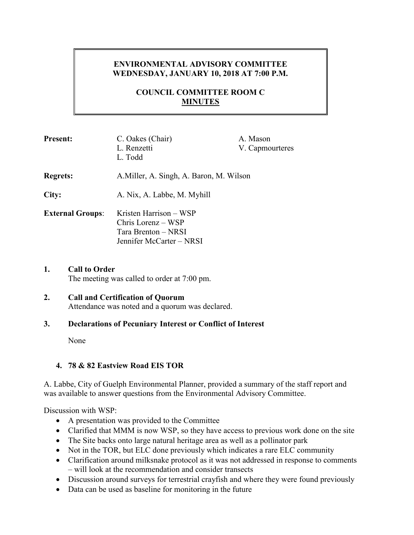## **ENVIRONMENTAL ADVISORY COMMITTEE WEDNESDAY, JANUARY 10, 2018 AT 7:00 P.M.**

## **COUNCIL COMMITTEE ROOM C MINUTES**

| <b>Present:</b>         | C. Oakes (Chair)<br>L. Renzetti<br>L. Todd                                                      | A. Mason<br>V. Capmourteres |
|-------------------------|-------------------------------------------------------------------------------------------------|-----------------------------|
| <b>Regrets:</b>         | A. Miller, A. Singh, A. Baron, M. Wilson                                                        |                             |
| City:                   | A. Nix, A. Labbe, M. Myhill                                                                     |                             |
| <b>External Groups:</b> | Kristen Harrison – WSP<br>Chris Lorenz – WSP<br>Tara Brenton – NRSI<br>Jennifer McCarter – NRSI |                             |

**1. Call to Order**  The meeting was called to order at 7:00 pm.

#### **2. Call and Certification of Quorum**  Attendance was noted and a quorum was declared.

### **3. Declarations of Pecuniary Interest or Conflict of Interest**

None

### **4. 78 & 82 Eastview Road EIS TOR**

A. Labbe, City of Guelph Environmental Planner, provided a summary of the staff report and was available to answer questions from the Environmental Advisory Committee.

Discussion with WSP:

- A presentation was provided to the Committee
- Clarified that MMM is now WSP, so they have access to previous work done on the site
- The Site backs onto large natural heritage area as well as a pollinator park
- Not in the TOR, but ELC done previously which indicates a rare ELC community
- Clarification around milksnake protocol as it was not addressed in response to comments – will look at the recommendation and consider transects
- Discussion around surveys for terrestrial crayfish and where they were found previously
- Data can be used as baseline for monitoring in the future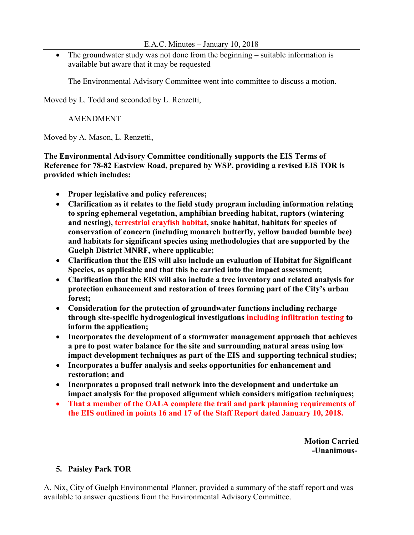The groundwater study was not done from the beginning – suitable information is available but aware that it may be requested

The Environmental Advisory Committee went into committee to discuss a motion.

Moved by L. Todd and seconded by L. Renzetti,

AMENDMENT

Moved by A. Mason, L. Renzetti,

**The Environmental Advisory Committee conditionally supports the EIS Terms of Reference for 78-82 Eastview Road, prepared by WSP, providing a revised EIS TOR is provided which includes:** 

- **Proper legislative and policy references;**
- **Clarification as it relates to the field study program including information relating to spring ephemeral vegetation, amphibian breeding habitat, raptors (wintering and nesting), terrestrial crayfish habitat, snake habitat, habitats for species of conservation of concern (including monarch butterfly, yellow banded bumble bee) and habitats for significant species using methodologies that are supported by the Guelph District MNRF, where applicable;**
- **Clarification that the EIS will also include an evaluation of Habitat for Significant Species, as applicable and that this be carried into the impact assessment;**
- **Clarification that the EIS will also include a tree inventory and related analysis for protection enhancement and restoration of trees forming part of the City's urban forest;**
- **Consideration for the protection of groundwater functions including recharge through site-specific hydrogeological investigations including infiltration testing to inform the application;**
- **Incorporates the development of a stormwater management approach that achieves a pre to post water balance for the site and surrounding natural areas using low impact development techniques as part of the EIS and supporting technical studies;**
- **Incorporates a buffer analysis and seeks opportunities for enhancement and restoration; and**
- **Incorporates a proposed trail network into the development and undertake an impact analysis for the proposed alignment which considers mitigation techniques;**
- **That a member of the OALA complete the trail and park planning requirements of the EIS outlined in points 16 and 17 of the Staff Report dated January 10, 2018.**

 **Motion Carried -Unanimous-**

### **5. Paisley Park TOR**

A. Nix, City of Guelph Environmental Planner, provided a summary of the staff report and was available to answer questions from the Environmental Advisory Committee.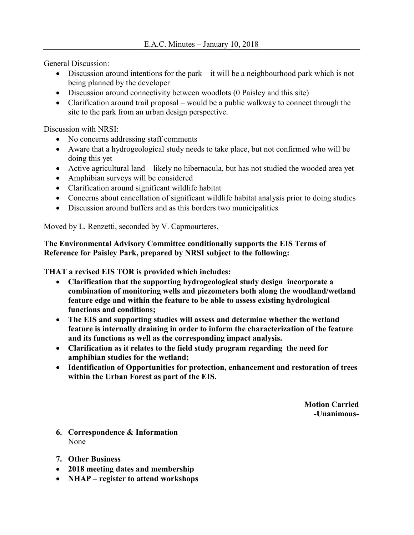General Discussion:

- Discussion around intentions for the park it will be a neighbourhood park which is not being planned by the developer
- Discussion around connectivity between woodlots (0 Paisley and this site)
- Clarification around trail proposal would be a public walkway to connect through the site to the park from an urban design perspective.

Discussion with NRSI:

- No concerns addressing staff comments
- Aware that a hydrogeological study needs to take place, but not confirmed who will be doing this yet
- Active agricultural land likely no hibernacula, but has not studied the wooded area yet
- Amphibian surveys will be considered
- Clarification around significant wildlife habitat
- Concerns about cancellation of significant wildlife habitat analysis prior to doing studies
- Discussion around buffers and as this borders two municipalities

Moved by L. Renzetti, seconded by V. Capmourteres,

**The Environmental Advisory Committee conditionally supports the EIS Terms of Reference for Paisley Park, prepared by NRSI subject to the following:** 

**THAT a revised EIS TOR is provided which includes:** 

- **Clarification that the supporting hydrogeological study design incorporate a combination of monitoring wells and piezometers both along the woodland/wetland feature edge and within the feature to be able to assess existing hydrological functions and conditions;**
- **The EIS and supporting studies will assess and determine whether the wetland feature is internally draining in order to inform the characterization of the feature and its functions as well as the corresponding impact analysis.**
- **Clarification as it relates to the field study program regarding the need for amphibian studies for the wetland;**
- **Identification of Opportunities for protection, enhancement and restoration of trees within the Urban Forest as part of the EIS.**

**Motion Carried -Unanimous-**

- **6. Correspondence & Information** None
- **7. Other Business**
- **2018 meeting dates and membership**
- **NHAP register to attend workshops**